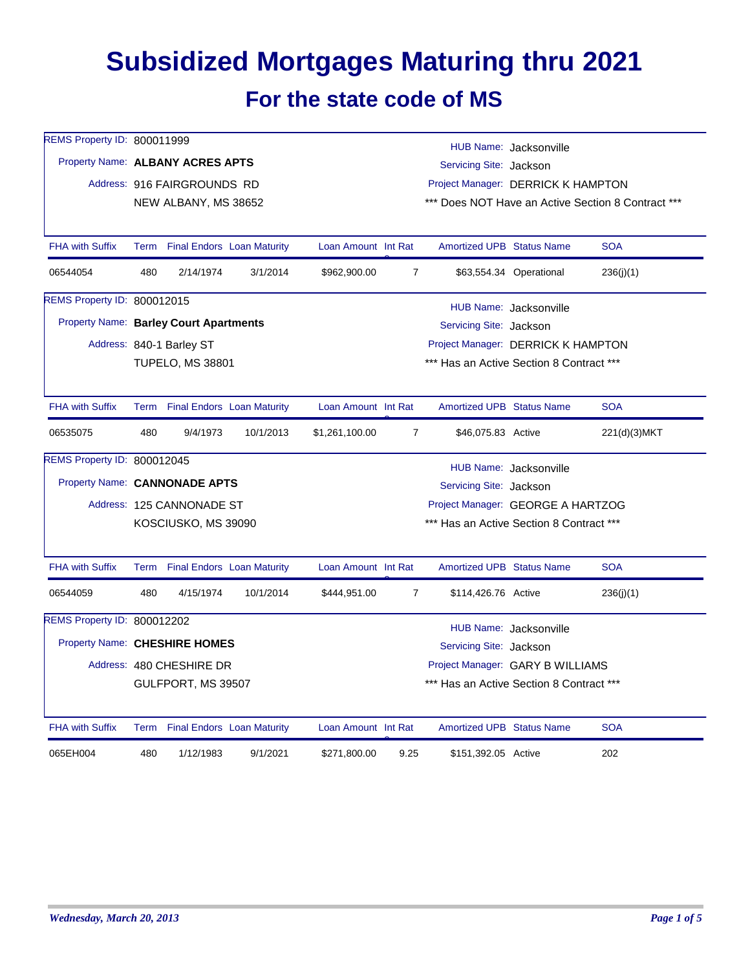## **Subsidized Mortgages Maturing thru 2021 For the state code of MS**

| REMS Property ID: 800011999                   |                                                                                    |                                 |           |                                          |                                                    |                                                   |                         |              |  |  |  |
|-----------------------------------------------|------------------------------------------------------------------------------------|---------------------------------|-----------|------------------------------------------|----------------------------------------------------|---------------------------------------------------|-------------------------|--------------|--|--|--|
| Property Name: ALBANY ACRES APTS              |                                                                                    |                                 |           |                                          |                                                    | HUB Name: Jacksonville<br>Servicing Site: Jackson |                         |              |  |  |  |
|                                               |                                                                                    | Address: 916 FAIRGROUNDS RD     |           |                                          |                                                    | Project Manager: DERRICK K HAMPTON                |                         |              |  |  |  |
|                                               |                                                                                    | NEW ALBANY, MS 38652            |           |                                          | *** Does NOT Have an Active Section 8 Contract *** |                                                   |                         |              |  |  |  |
|                                               |                                                                                    |                                 |           |                                          |                                                    |                                                   |                         |              |  |  |  |
| <b>FHA with Suffix</b>                        |                                                                                    | Term Final Endors Loan Maturity |           | Loan Amount Int Rat                      |                                                    | <b>Amortized UPB Status Name</b>                  |                         | <b>SOA</b>   |  |  |  |
| 06544054                                      | 480                                                                                | 2/14/1974                       | 3/1/2014  | \$962,900.00                             | $\overline{7}$                                     |                                                   | \$63,554.34 Operational | 236(i)(1)    |  |  |  |
| REMS Property ID: 800012015                   |                                                                                    |                                 |           |                                          |                                                    |                                                   | HUB Name: Jacksonville  |              |  |  |  |
| <b>Property Name: Barley Court Apartments</b> |                                                                                    |                                 |           |                                          |                                                    | Servicing Site: Jackson                           |                         |              |  |  |  |
|                                               |                                                                                    | Address: 840-1 Barley ST        |           |                                          |                                                    | Project Manager: DERRICK K HAMPTON                |                         |              |  |  |  |
|                                               |                                                                                    | <b>TUPELO, MS 38801</b>         |           |                                          |                                                    | *** Has an Active Section 8 Contract ***          |                         |              |  |  |  |
|                                               |                                                                                    |                                 |           |                                          |                                                    |                                                   |                         |              |  |  |  |
| <b>FHA with Suffix</b>                        |                                                                                    | Term Final Endors Loan Maturity |           | Loan Amount Int Rat                      |                                                    | <b>Amortized UPB Status Name</b>                  |                         | <b>SOA</b>   |  |  |  |
| 06535075                                      | 480                                                                                | 9/4/1973                        | 10/1/2013 | \$1,261,100.00                           | $\overline{7}$                                     | \$46,075.83 Active                                |                         | 221(d)(3)MKT |  |  |  |
| REMS Property ID: 800012045                   |                                                                                    |                                 |           |                                          |                                                    |                                                   | HUB Name: Jacksonville  |              |  |  |  |
| Property Name: CANNONADE APTS                 |                                                                                    |                                 |           | Servicing Site: Jackson                  |                                                    |                                                   |                         |              |  |  |  |
|                                               |                                                                                    | Address: 125 CANNONADE ST       |           |                                          | Project Manager: GEORGE A HARTZOG                  |                                                   |                         |              |  |  |  |
|                                               |                                                                                    | KOSCIUSKO, MS 39090             |           | *** Has an Active Section 8 Contract *** |                                                    |                                                   |                         |              |  |  |  |
|                                               |                                                                                    |                                 |           |                                          |                                                    |                                                   |                         |              |  |  |  |
| <b>FHA with Suffix</b>                        |                                                                                    | Term Final Endors Loan Maturity |           | Loan Amount Int Rat                      |                                                    | <b>Amortized UPB Status Name</b>                  |                         | <b>SOA</b>   |  |  |  |
| 06544059                                      | 480                                                                                | 4/15/1974                       | 10/1/2014 | \$444,951.00                             | $\overline{7}$                                     | \$114,426.76 Active                               |                         | 236(i)(1)    |  |  |  |
| REMS Property ID: 800012202                   |                                                                                    |                                 |           |                                          |                                                    |                                                   |                         |              |  |  |  |
|                                               | HUB Name: Jacksonville<br>Property Name: CHESHIRE HOMES<br>Servicing Site: Jackson |                                 |           |                                          |                                                    |                                                   |                         |              |  |  |  |
|                                               | Project Manager: GARY B WILLIAMS<br>Address: 480 CHESHIRE DR                       |                                 |           |                                          |                                                    |                                                   |                         |              |  |  |  |
|                                               |                                                                                    | GULFPORT, MS 39507              |           |                                          |                                                    | *** Has an Active Section 8 Contract ***          |                         |              |  |  |  |
| <b>FHA with Suffix</b>                        |                                                                                    | Term Final Endors Loan Maturity |           | Loan Amount Int Rat                      |                                                    | <b>Amortized UPB Status Name</b>                  |                         | <b>SOA</b>   |  |  |  |
|                                               |                                                                                    |                                 |           |                                          |                                                    |                                                   |                         |              |  |  |  |
| 065EH004                                      | 480                                                                                | 1/12/1983                       | 9/1/2021  | \$271,800.00                             | 9.25                                               | \$151,392.05 Active                               |                         | 202          |  |  |  |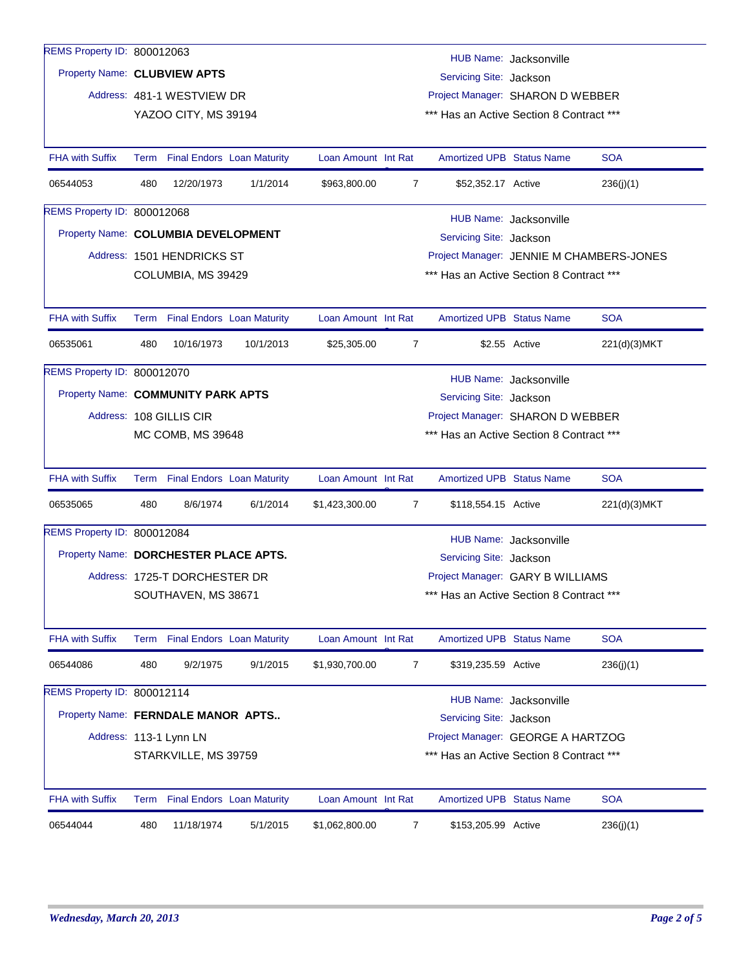| REMS Property ID: 800012063           |                                                                                                                                 |                                 |                                   |                                          |                |                                          |                        |              |  |
|---------------------------------------|---------------------------------------------------------------------------------------------------------------------------------|---------------------------------|-----------------------------------|------------------------------------------|----------------|------------------------------------------|------------------------|--------------|--|
|                                       |                                                                                                                                 |                                 |                                   |                                          |                |                                          | HUB Name: Jacksonville |              |  |
|                                       | Property Name: CLUBVIEW APTS<br>Servicing Site: Jackson                                                                         |                                 |                                   |                                          |                |                                          |                        |              |  |
|                                       |                                                                                                                                 | Address: 481-1 WESTVIEW DR      |                                   |                                          |                | Project Manager: SHARON D WEBBER         |                        |              |  |
|                                       |                                                                                                                                 | YAZOO CITY, MS 39194            |                                   |                                          |                | *** Has an Active Section 8 Contract *** |                        |              |  |
| <b>FHA with Suffix</b>                |                                                                                                                                 | Term Final Endors Loan Maturity |                                   | Loan Amount Int Rat                      |                | <b>Amortized UPB Status Name</b>         |                        | <b>SOA</b>   |  |
| 06544053                              | 480                                                                                                                             | 12/20/1973                      | 1/1/2014                          | \$963,800.00                             | $\overline{7}$ | \$52,352.17 Active                       |                        | 236(j)(1)    |  |
| REMS Property ID: 800012068           |                                                                                                                                 |                                 |                                   |                                          |                |                                          |                        |              |  |
|                                       | HUB Name: Jacksonville<br>Property Name: COLUMBIA DEVELOPMENT<br>Servicing Site: Jackson                                        |                                 |                                   |                                          |                |                                          |                        |              |  |
|                                       |                                                                                                                                 | Address: 1501 HENDRICKS ST      |                                   |                                          |                | Project Manager: JENNIE M CHAMBERS-JONES |                        |              |  |
|                                       |                                                                                                                                 | COLUMBIA, MS 39429              |                                   |                                          |                | *** Has an Active Section 8 Contract *** |                        |              |  |
|                                       |                                                                                                                                 |                                 |                                   |                                          |                |                                          |                        |              |  |
| <b>FHA with Suffix</b>                |                                                                                                                                 | Term Final Endors Loan Maturity |                                   | Loan Amount Int Rat                      |                | <b>Amortized UPB Status Name</b>         |                        | <b>SOA</b>   |  |
| 06535061                              | 480                                                                                                                             | 10/16/1973                      | 10/1/2013                         | \$25,305.00                              | $\overline{7}$ |                                          | \$2.55 Active          | 221(d)(3)MKT |  |
| REMS Property ID: 800012070           |                                                                                                                                 |                                 |                                   |                                          |                |                                          | HUB Name: Jacksonville |              |  |
| Property Name: COMMUNITY PARK APTS    |                                                                                                                                 |                                 |                                   |                                          |                | Servicing Site: Jackson                  |                        |              |  |
|                                       |                                                                                                                                 | Address: 108 GILLIS CIR         |                                   | Project Manager: SHARON D WEBBER         |                |                                          |                        |              |  |
|                                       |                                                                                                                                 | MC COMB, MS 39648               |                                   | *** Has an Active Section 8 Contract *** |                |                                          |                        |              |  |
| <b>FHA with Suffix</b>                |                                                                                                                                 | Term Final Endors Loan Maturity |                                   | Loan Amount Int Rat                      |                | <b>Amortized UPB Status Name</b>         |                        | <b>SOA</b>   |  |
|                                       |                                                                                                                                 |                                 |                                   |                                          |                |                                          |                        |              |  |
| 06535065                              | 480                                                                                                                             | 8/6/1974                        | 6/1/2014                          | \$1,423,300.00                           | 7              | \$118,554.15 Active                      |                        | 221(d)(3)MKT |  |
| REMS Property ID: 800012084           |                                                                                                                                 |                                 |                                   |                                          |                |                                          | HUB Name: Jacksonville |              |  |
| Property Name: DORCHESTER PLACE APTS. |                                                                                                                                 |                                 |                                   |                                          |                | Servicing Site: Jackson                  |                        |              |  |
|                                       |                                                                                                                                 | Address: 1725-T DORCHESTER DR   |                                   |                                          |                | Project Manager: GARY B WILLIAMS         |                        |              |  |
|                                       | *** Has an Active Section 8 Contract ***<br>SOUTHAVEN, MS 38671                                                                 |                                 |                                   |                                          |                |                                          |                        |              |  |
| <b>FHA with Suffix</b>                |                                                                                                                                 | Term Final Endors Loan Maturity |                                   | Loan Amount Int Rat                      |                | <b>Amortized UPB Status Name</b>         |                        | <b>SOA</b>   |  |
| 06544086                              | 480                                                                                                                             | 9/2/1975                        | 9/1/2015                          | \$1,930,700.00                           | 7              | \$319,235.59 Active                      |                        | 236(j)(1)    |  |
| REMS Property ID: 800012114           |                                                                                                                                 |                                 |                                   |                                          |                |                                          |                        |              |  |
| Property Name: FERNDALE MANOR APTS    |                                                                                                                                 |                                 |                                   |                                          |                | Servicing Site: Jackson                  | HUB Name: Jacksonville |              |  |
|                                       |                                                                                                                                 |                                 |                                   |                                          |                |                                          |                        |              |  |
|                                       | Project Manager: GEORGE A HARTZOG<br>Address: 113-1 Lynn LN<br>STARKVILLE, MS 39759<br>*** Has an Active Section 8 Contract *** |                                 |                                   |                                          |                |                                          |                        |              |  |
|                                       |                                                                                                                                 |                                 |                                   |                                          |                |                                          |                        |              |  |
| <b>FHA with Suffix</b>                | Term                                                                                                                            |                                 | <b>Final Endors Loan Maturity</b> | Loan Amount Int Rat                      |                | <b>Amortized UPB Status Name</b>         |                        | <b>SOA</b>   |  |
| 06544044                              | 480                                                                                                                             | 11/18/1974                      | 5/1/2015                          | \$1,062,800.00                           | 7              | \$153,205.99 Active                      |                        | 236(j)(1)    |  |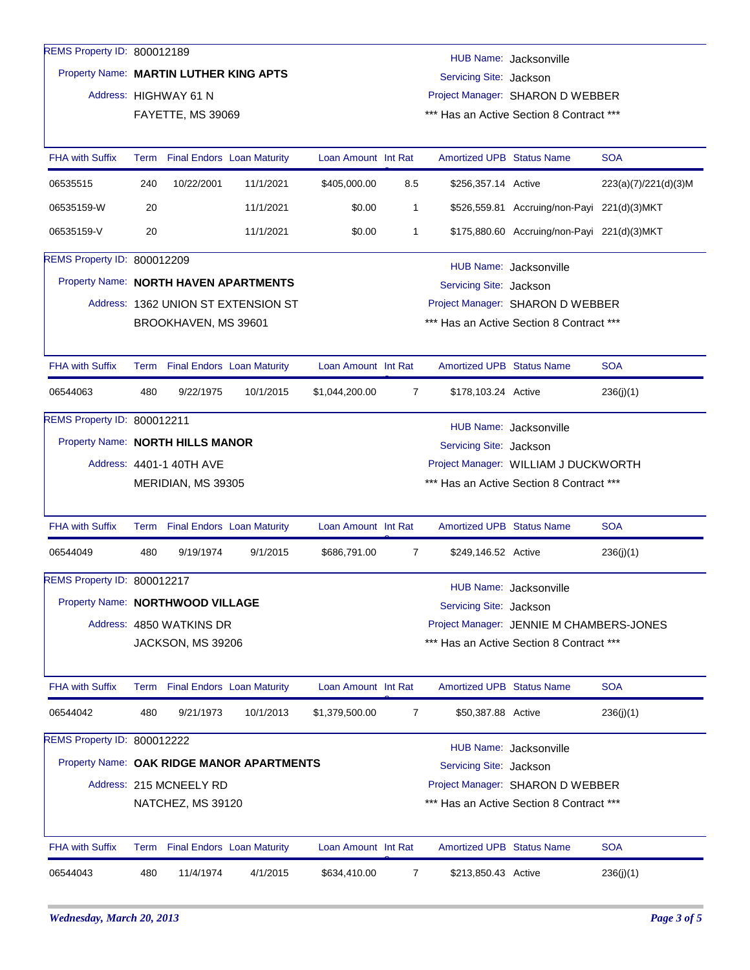| REMS Property ID: 800012189           |                                                                                             |                                 |                                           |                     |                                          |                                                                 |                                             |                      |  |  |
|---------------------------------------|---------------------------------------------------------------------------------------------|---------------------------------|-------------------------------------------|---------------------|------------------------------------------|-----------------------------------------------------------------|---------------------------------------------|----------------------|--|--|
|                                       | HUB Name: Jacksonville<br>Property Name: MARTIN LUTHER KING APTS<br>Servicing Site: Jackson |                                 |                                           |                     |                                          |                                                                 |                                             |                      |  |  |
|                                       | Project Manager: SHARON D WEBBER<br>Address: HIGHWAY 61 N                                   |                                 |                                           |                     |                                          |                                                                 |                                             |                      |  |  |
|                                       | *** Has an Active Section 8 Contract ***<br>FAYETTE, MS 39069                               |                                 |                                           |                     |                                          |                                                                 |                                             |                      |  |  |
| <b>FHA with Suffix</b>                |                                                                                             | Term Final Endors Loan Maturity |                                           | Loan Amount Int Rat |                                          | <b>Amortized UPB Status Name</b>                                |                                             | <b>SOA</b>           |  |  |
| 06535515                              | 240                                                                                         | 10/22/2001                      | 11/1/2021                                 | \$405,000.00        | 8.5                                      | \$256,357.14 Active                                             |                                             | 223(a)(7)/221(d)(3)M |  |  |
| 06535159-W                            | 20                                                                                          |                                 | 11/1/2021                                 | \$0.00              | 1                                        |                                                                 | \$526,559.81 Accruing/non-Payi 221(d)(3)MKT |                      |  |  |
| 06535159-V                            | 20                                                                                          |                                 | 11/1/2021                                 | \$0.00              | 1                                        |                                                                 | \$175,880.60 Accruing/non-Payi 221(d)(3)MKT |                      |  |  |
| REMS Property ID: 800012209           |                                                                                             |                                 |                                           |                     |                                          |                                                                 | HUB Name: Jacksonville                      |                      |  |  |
| Property Name: NORTH HAVEN APARTMENTS |                                                                                             |                                 |                                           |                     |                                          | Servicing Site: Jackson                                         |                                             |                      |  |  |
|                                       |                                                                                             |                                 | Address: 1362 UNION ST EXTENSION ST       |                     |                                          |                                                                 | Project Manager: SHARON D WEBBER            |                      |  |  |
|                                       | *** Has an Active Section 8 Contract ***<br>BROOKHAVEN, MS 39601                            |                                 |                                           |                     |                                          |                                                                 |                                             |                      |  |  |
| <b>FHA with Suffix</b>                |                                                                                             | Term Final Endors Loan Maturity |                                           | Loan Amount Int Rat |                                          | <b>Amortized UPB Status Name</b>                                |                                             | <b>SOA</b>           |  |  |
| 06544063                              | 480                                                                                         | 9/22/1975                       | 10/1/2015                                 | \$1,044,200.00      | 7                                        | \$178,103.24 Active                                             |                                             | 236(j)(1)            |  |  |
| REMS Property ID: 800012211           |                                                                                             |                                 |                                           |                     |                                          |                                                                 | HUB Name: Jacksonville                      |                      |  |  |
| Property Name: NORTH HILLS MANOR      |                                                                                             |                                 |                                           |                     |                                          |                                                                 |                                             |                      |  |  |
|                                       |                                                                                             | Address: 4401-1 40TH AVE        |                                           |                     |                                          | Servicing Site: Jackson<br>Project Manager: WILLIAM J DUCKWORTH |                                             |                      |  |  |
|                                       |                                                                                             | MERIDIAN, MS 39305              |                                           |                     |                                          |                                                                 | *** Has an Active Section 8 Contract ***    |                      |  |  |
| <b>FHA with Suffix</b>                |                                                                                             | Term Final Endors Loan Maturity |                                           | Loan Amount Int Rat |                                          | <b>Amortized UPB Status Name</b>                                |                                             | <b>SOA</b>           |  |  |
| 06544049                              | 480                                                                                         | 9/19/1974                       | 9/1/2015                                  | \$686,791.00        | 7                                        | \$249,146.52 Active                                             |                                             | 236(j)(1)            |  |  |
| REMS Property ID: 800012217           |                                                                                             |                                 |                                           |                     |                                          |                                                                 | HUB Name: Jacksonville                      |                      |  |  |
| Property Name: NORTHWOOD VILLAGE      |                                                                                             |                                 |                                           |                     |                                          | Servicing Site: Jackson                                         |                                             |                      |  |  |
|                                       |                                                                                             | Address: 4850 WATKINS DR        |                                           |                     | Project Manager: JENNIE M CHAMBERS-JONES |                                                                 |                                             |                      |  |  |
|                                       |                                                                                             | JACKSON, MS 39206               |                                           |                     |                                          | *** Has an Active Section 8 Contract ***                        |                                             |                      |  |  |
| <b>FHA with Suffix</b>                |                                                                                             | Term Final Endors Loan Maturity |                                           | Loan Amount Int Rat |                                          | Amortized UPB Status Name                                       |                                             | <b>SOA</b>           |  |  |
| 06544042                              | 480                                                                                         | 9/21/1973                       | 10/1/2013                                 | \$1,379,500.00      | $\overline{7}$                           | \$50,387.88 Active                                              |                                             | 236(j)(1)            |  |  |
| REMS Property ID: 800012222           |                                                                                             |                                 |                                           |                     |                                          |                                                                 | HUB Name: Jacksonville                      |                      |  |  |
|                                       |                                                                                             |                                 | Property Name: OAK RIDGE MANOR APARTMENTS |                     |                                          | Servicing Site: Jackson                                         |                                             |                      |  |  |
|                                       | Address: 215 MCNEELY RD<br>Project Manager: SHARON D WEBBER                                 |                                 |                                           |                     |                                          |                                                                 |                                             |                      |  |  |
|                                       | *** Has an Active Section 8 Contract ***<br>NATCHEZ, MS 39120                               |                                 |                                           |                     |                                          |                                                                 |                                             |                      |  |  |
| FHA with Suffix                       |                                                                                             | Term Final Endors Loan Maturity |                                           | Loan Amount Int Rat |                                          | Amortized UPB Status Name                                       |                                             | <b>SOA</b>           |  |  |
| 06544043                              | 480                                                                                         | 11/4/1974                       | 4/1/2015                                  | \$634,410.00        | 7                                        | \$213,850.43 Active                                             |                                             | 236(j)(1)            |  |  |
|                                       |                                                                                             |                                 |                                           |                     |                                          |                                                                 |                                             |                      |  |  |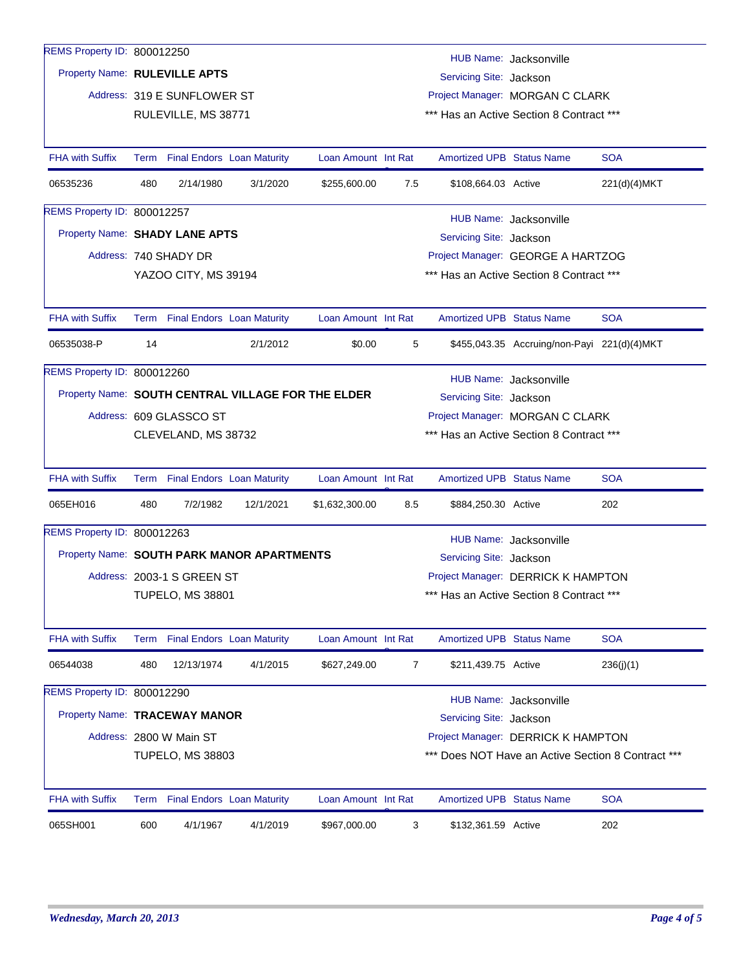| REMS Property ID: 800012250   |                                                                                                                                                |                                 |                                            |                                                    |     |                                  | HUB Name: Jacksonville                      |              |  |
|-------------------------------|------------------------------------------------------------------------------------------------------------------------------------------------|---------------------------------|--------------------------------------------|----------------------------------------------------|-----|----------------------------------|---------------------------------------------|--------------|--|
| Property Name: RULEVILLE APTS |                                                                                                                                                |                                 |                                            |                                                    |     | Servicing Site: Jackson          |                                             |              |  |
|                               | Address: 319 E SUNFLOWER ST<br>Project Manager: MORGAN C CLARK                                                                                 |                                 |                                            |                                                    |     |                                  |                                             |              |  |
|                               |                                                                                                                                                | RULEVILLE, MS 38771             |                                            |                                                    |     |                                  | *** Has an Active Section 8 Contract ***    |              |  |
|                               |                                                                                                                                                |                                 |                                            |                                                    |     |                                  |                                             |              |  |
| <b>FHA with Suffix</b>        |                                                                                                                                                | Term Final Endors Loan Maturity |                                            | Loan Amount Int Rat                                |     | <b>Amortized UPB Status Name</b> |                                             | <b>SOA</b>   |  |
| 06535236                      | 480                                                                                                                                            | 2/14/1980                       | 3/1/2020                                   | \$255,600.00                                       | 7.5 | \$108,664.03 Active              |                                             | 221(d)(4)MKT |  |
| REMS Property ID: 800012257   |                                                                                                                                                |                                 |                                            |                                                    |     |                                  |                                             |              |  |
|                               | HUB Name: Jacksonville<br>Property Name: SHADY LANE APTS<br>Servicing Site: Jackson                                                            |                                 |                                            |                                                    |     |                                  |                                             |              |  |
|                               |                                                                                                                                                | Address: 740 SHADY DR           |                                            |                                                    |     |                                  | Project Manager: GEORGE A HARTZOG           |              |  |
|                               |                                                                                                                                                | YAZOO CITY, MS 39194            |                                            |                                                    |     |                                  | *** Has an Active Section 8 Contract ***    |              |  |
|                               |                                                                                                                                                |                                 |                                            |                                                    |     |                                  |                                             |              |  |
| <b>FHA with Suffix</b>        |                                                                                                                                                | Term Final Endors Loan Maturity |                                            | Loan Amount Int Rat                                |     | <b>Amortized UPB Status Name</b> |                                             | <b>SOA</b>   |  |
| 06535038-P                    | 14                                                                                                                                             |                                 | 2/1/2012                                   | \$0.00                                             | 5   |                                  | \$455,043.35 Accruing/non-Payi 221(d)(4)MKT |              |  |
| REMS Property ID: 800012260   |                                                                                                                                                |                                 |                                            |                                                    |     |                                  | HUB Name: Jacksonville                      |              |  |
|                               |                                                                                                                                                |                                 |                                            | Property Name: SOUTH CENTRAL VILLAGE FOR THE ELDER |     | Servicing Site: Jackson          |                                             |              |  |
|                               |                                                                                                                                                | Address: 609 GLASSCO ST         |                                            |                                                    |     |                                  | Project Manager: MORGAN C CLARK             |              |  |
|                               |                                                                                                                                                | CLEVELAND, MS 38732             |                                            |                                                    |     |                                  | *** Has an Active Section 8 Contract ***    |              |  |
|                               |                                                                                                                                                |                                 |                                            |                                                    |     |                                  |                                             |              |  |
| <b>FHA with Suffix</b>        |                                                                                                                                                | Term Final Endors Loan Maturity |                                            | Loan Amount Int Rat                                |     | <b>Amortized UPB Status Name</b> |                                             | <b>SOA</b>   |  |
| 065EH016                      | 480                                                                                                                                            | 7/2/1982                        | 12/1/2021                                  | \$1,632,300.00                                     | 8.5 | \$884,250.30 Active              |                                             | 202          |  |
| REMS Property ID: 800012263   |                                                                                                                                                |                                 |                                            |                                                    |     |                                  | HUB Name: Jacksonville                      |              |  |
|                               |                                                                                                                                                |                                 | Property Name: SOUTH PARK MANOR APARTMENTS |                                                    |     | Servicing Site: Jackson          |                                             |              |  |
|                               |                                                                                                                                                | Address: 2003-1 S GREEN ST      |                                            |                                                    |     |                                  | Project Manager: DERRICK K HAMPTON          |              |  |
|                               |                                                                                                                                                | <b>TUPELO, MS 38801</b>         |                                            |                                                    |     |                                  | *** Has an Active Section 8 Contract ***    |              |  |
|                               |                                                                                                                                                |                                 |                                            |                                                    |     |                                  |                                             |              |  |
| <b>FHA with Suffix</b>        |                                                                                                                                                | Term Final Endors Loan Maturity |                                            | Loan Amount Int Rat                                |     | <b>Amortized UPB Status Name</b> |                                             | <b>SOA</b>   |  |
| 06544038                      | 480                                                                                                                                            | 12/13/1974                      | 4/1/2015                                   | \$627,249.00                                       | 7   | \$211,439.75 Active              |                                             | 236(j)(1)    |  |
| REMS Property ID: 800012290   |                                                                                                                                                |                                 |                                            |                                                    |     |                                  | HUB Name: Jacksonville                      |              |  |
| Property Name: TRACEWAY MANOR |                                                                                                                                                |                                 |                                            |                                                    |     | Servicing Site: Jackson          |                                             |              |  |
|                               |                                                                                                                                                |                                 |                                            |                                                    |     |                                  |                                             |              |  |
|                               | Address: 2800 W Main ST<br>Project Manager: DERRICK K HAMPTON<br>*** Does NOT Have an Active Section 8 Contract ***<br><b>TUPELO, MS 38803</b> |                                 |                                            |                                                    |     |                                  |                                             |              |  |
|                               |                                                                                                                                                |                                 |                                            |                                                    |     |                                  |                                             |              |  |
| <b>FHA with Suffix</b>        |                                                                                                                                                | Term Final Endors Loan Maturity |                                            | Loan Amount Int Rat                                |     | <b>Amortized UPB Status Name</b> |                                             | <b>SOA</b>   |  |
| 065SH001                      | 600                                                                                                                                            | 4/1/1967                        | 4/1/2019                                   | \$967,000.00                                       | 3   | \$132,361.59 Active              |                                             | 202          |  |